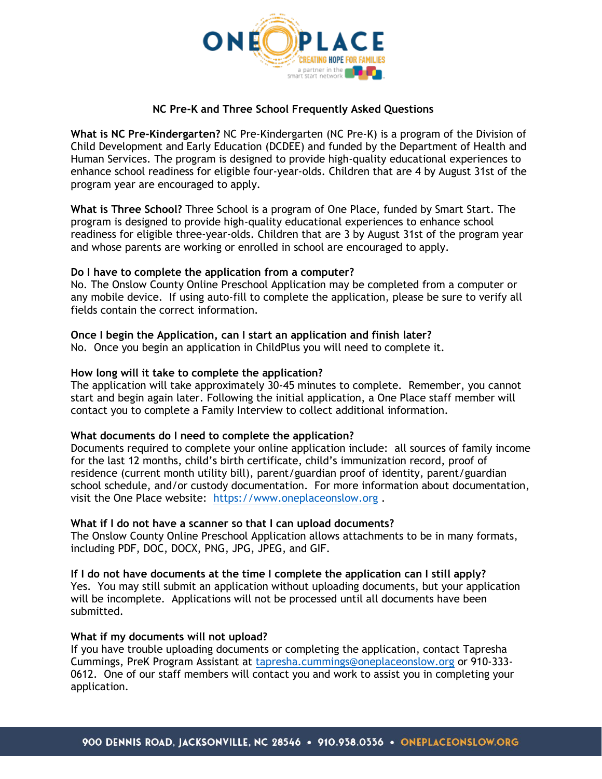

## **NC Pre-K and Three School Frequently Asked Questions**

**What is NC Pre-Kindergarten?** NC Pre-Kindergarten (NC Pre-K) is a program of the Division of Child Development and Early Education (DCDEE) and funded by the Department of Health and Human Services. The program is designed to provide high-quality educational experiences to enhance school readiness for eligible four-year-olds. Children that are 4 by August 31st of the program year are encouraged to apply.

**What is Three School?** Three School is a program of One Place, funded by Smart Start. The program is designed to provide high-quality educational experiences to enhance school readiness for eligible three-year-olds. Children that are 3 by August 31st of the program year and whose parents are working or enrolled in school are encouraged to apply.

#### **Do I have to complete the application from a computer?**

No. The Onslow County Online Preschool Application may be completed from a computer or any mobile device. If using auto-fill to complete the application, please be sure to verify all fields contain the correct information.

## **Once I begin the Application, can I start an application and finish later?**

No. Once you begin an application in ChildPlus you will need to complete it.

## **How long will it take to complete the application?**

The application will take approximately 30-45 minutes to complete. Remember, you cannot start and begin again later. Following the initial application, a One Place staff member will contact you to complete a Family Interview to collect additional information.

#### **What documents do I need to complete the application?**

Documents required to complete your online application include: all sources of family income for the last 12 months, child's birth certificate, child's immunization record, proof of residence (current month utility bill), parent/guardian proof of identity, parent/guardian school schedule, and/or custody documentation. For more information about documentation, visit the One Place website: [https://www.oneplaceonslow.org](https://www.oneplaceonslow.org/) .

#### **What if I do not have a scanner so that I can upload documents?**

The Onslow County Online Preschool Application allows attachments to be in many formats, including PDF, DOC, DOCX, PNG, JPG, JPEG, and GIF.

**If I do not have documents at the time I complete the application can I still apply?** Yes. You may still submit an application without uploading documents, but your application will be incomplete. Applications will not be processed until all documents have been submitted.

#### **What if my documents will not upload?**

If you have trouble uploading documents or completing the application, contact Tapresha Cummings, PreK Program Assistant at [tapresha.cummings@oneplaceonslow.org](mailto:tapresha.cummings@oneplaceonslow.org) or 910-333- 0612. One of our staff members will contact you and work to assist you in completing your application.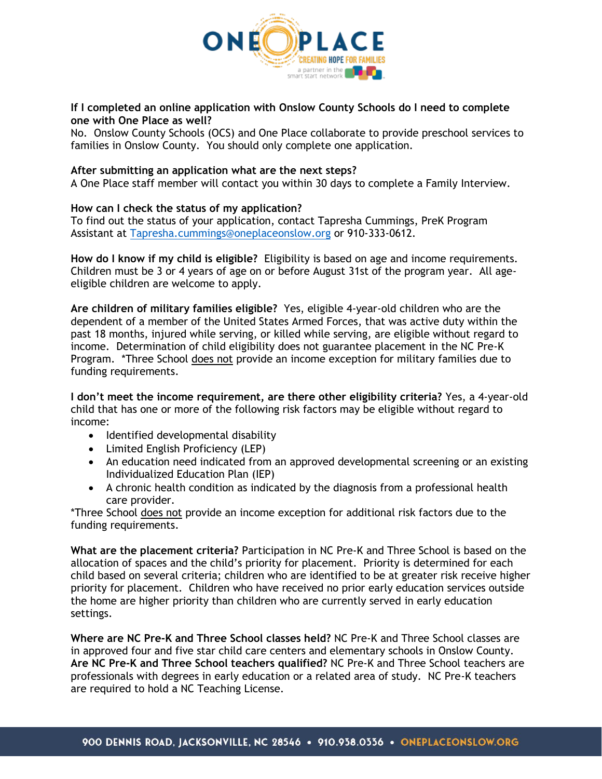

## **If I completed an online application with Onslow County Schools do I need to complete one with One Place as well?**

No. Onslow County Schools (OCS) and One Place collaborate to provide preschool services to families in Onslow County. You should only complete one application.

### **After submitting an application what are the next steps?**

A One Place staff member will contact you within 30 days to complete a Family Interview.

# **How can I check the status of my application?**

To find out the status of your application, contact Tapresha Cummings, PreK Program Assistant at [Tapresha.cummings@oneplaceonslow.org](mailto:Tapresha.cummings@oneplaceonslow.org) or 910-333-0612.

**How do I know if my child is eligible?** Eligibility is based on age and income requirements. Children must be 3 or 4 years of age on or before August 31st of the program year. All ageeligible children are welcome to apply.

**Are children of military families eligible?** Yes, eligible 4-year-old children who are the dependent of a member of the United States Armed Forces, that was active duty within the past 18 months, injured while serving, or killed while serving, are eligible without regard to income. Determination of child eligibility does not guarantee placement in the NC Pre-K Program. \*Three School does not provide an income exception for military families due to funding requirements.

**I don't meet the income requirement, are there other eligibility criteria?** Yes, a 4-year-old child that has one or more of the following risk factors may be eligible without regard to income:

- Identified developmental disability
- Limited English Proficiency (LEP)
- An education need indicated from an approved developmental screening or an existing Individualized Education Plan (IEP)
- A chronic health condition as indicated by the diagnosis from a professional health care provider.

\*Three School does not provide an income exception for additional risk factors due to the funding requirements.

**What are the placement criteria?** Participation in NC Pre-K and Three School is based on the allocation of spaces and the child's priority for placement. Priority is determined for each child based on several criteria; children who are identified to be at greater risk receive higher priority for placement. Children who have received no prior early education services outside the home are higher priority than children who are currently served in early education settings.

**Where are NC Pre-K and Three School classes held?** NC Pre-K and Three School classes are in approved four and five star child care centers and elementary schools in Onslow County. **Are NC Pre-K and Three School teachers qualified?** NC Pre-K and Three School teachers are professionals with degrees in early education or a related area of study. NC Pre-K teachers are required to hold a NC Teaching License.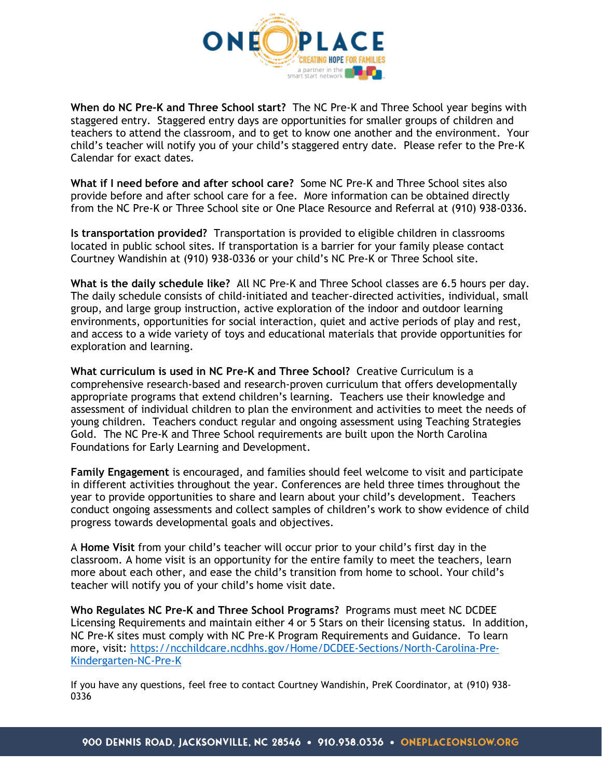

**When do NC Pre-K and Three School start?** The NC Pre-K and Three School year begins with staggered entry. Staggered entry days are opportunities for smaller groups of children and teachers to attend the classroom, and to get to know one another and the environment. Your child's teacher will notify you of your child's staggered entry date. Please refer to the Pre-K Calendar for exact dates.

**What if I need before and after school care?** Some NC Pre-K and Three School sites also provide before and after school care for a fee. More information can be obtained directly from the NC Pre-K or Three School site or One Place Resource and Referral at (910) 938-0336.

**Is transportation provided?** Transportation is provided to eligible children in classrooms located in public school sites. If transportation is a barrier for your family please contact Courtney Wandishin at (910) 938-0336 or your child's NC Pre-K or Three School site.

**What is the daily schedule like?** All NC Pre-K and Three School classes are 6.5 hours per day. The daily schedule consists of child-initiated and teacher-directed activities, individual, small group, and large group instruction, active exploration of the indoor and outdoor learning environments, opportunities for social interaction, quiet and active periods of play and rest, and access to a wide variety of toys and educational materials that provide opportunities for exploration and learning.

**What curriculum is used in NC Pre-K and Three School?** Creative Curriculum is a comprehensive research-based and research-proven curriculum that offers developmentally appropriate programs that extend children's learning. Teachers use their knowledge and assessment of individual children to plan the environment and activities to meet the needs of young children. Teachers conduct regular and ongoing assessment using Teaching Strategies Gold. The NC Pre-K and Three School requirements are built upon the North Carolina Foundations for Early Learning and Development.

**Family Engagement** is encouraged, and families should feel welcome to visit and participate in different activities throughout the year. Conferences are held three times throughout the year to provide opportunities to share and learn about your child's development. Teachers conduct ongoing assessments and collect samples of children's work to show evidence of child progress towards developmental goals and objectives.

A **Home Visit** from your child's teacher will occur prior to your child's first day in the classroom. A home visit is an opportunity for the entire family to meet the teachers, learn more about each other, and ease the child's transition from home to school. Your child's teacher will notify you of your child's home visit date.

**Who Regulates NC Pre-K and Three School Programs?** Programs must meet NC DCDEE Licensing Requirements and maintain either 4 or 5 Stars on their licensing status. In addition, NC Pre-K sites must comply with NC Pre-K Program Requirements and Guidance. To learn more, visit: [https://ncchildcare.ncdhhs.gov/Home/DCDEE-Sections/North-Carolina-Pre-](https://ncchildcare.ncdhhs.gov/Home/DCDEE-Sections/North-Carolina-Pre-Kindergarten-NC-Pre-K)[Kindergarten-NC-Pre-K](https://ncchildcare.ncdhhs.gov/Home/DCDEE-Sections/North-Carolina-Pre-Kindergarten-NC-Pre-K)

If you have any questions, feel free to contact Courtney Wandishin, PreK Coordinator, at (910) 938- 0336